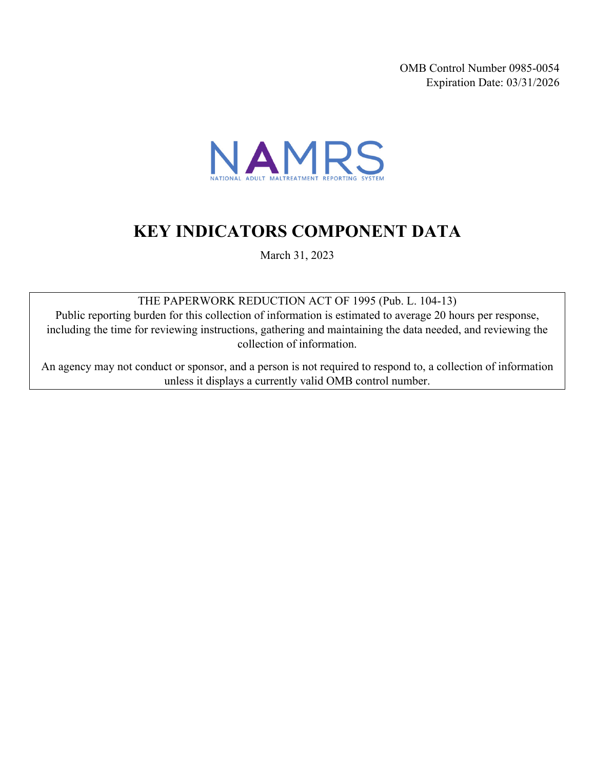OMB Control Number 0985-0054 Expiration Date: 03/31/2026



# **KEY INDICATORS COMPONENT DATA**

March 31, 2023

THE PAPERWORK REDUCTION ACT OF 1995 (Pub. L. 104-13)

Public reporting burden for this collection of information is estimated to average 20 hours per response, including the time for reviewing instructions, gathering and maintaining the data needed, and reviewing the collection of information.

An agency may not conduct or sponsor, and a person is not required to respond to, a collection of information unless it displays a currently valid OMB control number.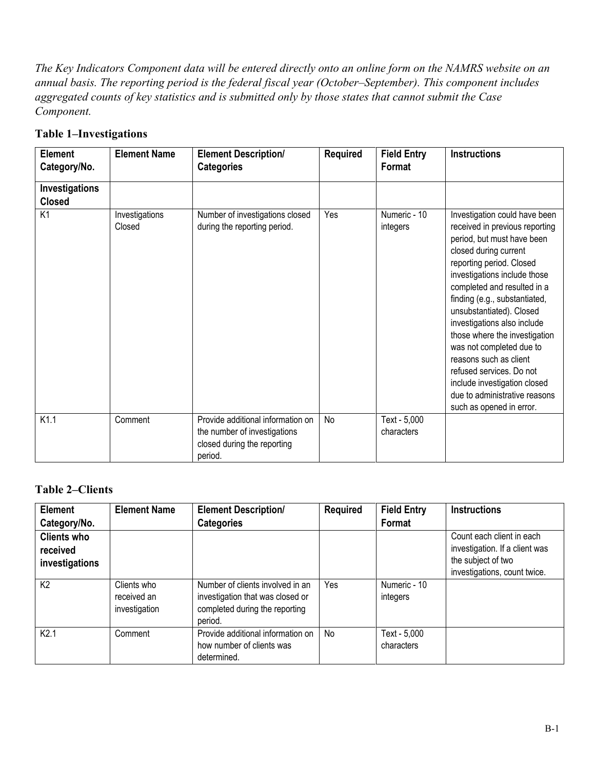*The Key Indicators Component data will be entered directly onto an online form on the NAMRS website on an annual basis. The reporting period is the federal fiscal year (October–September). This component includes aggregated counts of key statistics and is submitted only by those states that cannot submit the Case Component.* 

| Element<br>Category/No.         | <b>Element Name</b>      | <b>Element Description/</b><br><b>Categories</b>                                                            | <b>Required</b> | <b>Field Entry</b><br>Format | <b>Instructions</b>                                                                                                                                                                                                                                                                                                                                                                                                                                                                                                           |
|---------------------------------|--------------------------|-------------------------------------------------------------------------------------------------------------|-----------------|------------------------------|-------------------------------------------------------------------------------------------------------------------------------------------------------------------------------------------------------------------------------------------------------------------------------------------------------------------------------------------------------------------------------------------------------------------------------------------------------------------------------------------------------------------------------|
| Investigations<br><b>Closed</b> |                          |                                                                                                             |                 |                              |                                                                                                                                                                                                                                                                                                                                                                                                                                                                                                                               |
| K <sub>1</sub>                  | Investigations<br>Closed | Number of investigations closed<br>during the reporting period.                                             | Yes             | Numeric - 10<br>integers     | Investigation could have been<br>received in previous reporting<br>period, but must have been<br>closed during current<br>reporting period. Closed<br>investigations include those<br>completed and resulted in a<br>finding (e.g., substantiated,<br>unsubstantiated). Closed<br>investigations also include<br>those where the investigation<br>was not completed due to<br>reasons such as client<br>refused services. Do not<br>include investigation closed<br>due to administrative reasons<br>such as opened in error. |
| K1.1                            | Comment                  | Provide additional information on<br>the number of investigations<br>closed during the reporting<br>period. | No              | Text - 5,000<br>characters   |                                                                                                                                                                                                                                                                                                                                                                                                                                                                                                                               |

#### **Table 1–Investigations**

#### **Table 2–Clients**

| <b>Element</b>     | <b>Element Name</b>                         | <b>Element Description/</b>                                                                                       | <b>Required</b> | <b>Field Entry</b>         | <b>Instructions</b>            |
|--------------------|---------------------------------------------|-------------------------------------------------------------------------------------------------------------------|-----------------|----------------------------|--------------------------------|
| Category/No.       |                                             | <b>Categories</b>                                                                                                 |                 | Format                     |                                |
| <b>Clients who</b> |                                             |                                                                                                                   |                 |                            | Count each client in each      |
| received           |                                             |                                                                                                                   |                 |                            | investigation. If a client was |
| investigations     |                                             |                                                                                                                   |                 |                            | the subject of two             |
|                    |                                             |                                                                                                                   |                 |                            | investigations, count twice.   |
| K <sub>2</sub>     | Clients who<br>received an<br>investigation | Number of clients involved in an<br>investigation that was closed or<br>completed during the reporting<br>period. | Yes             | Numeric - 10<br>integers   |                                |
| K2.1               | Comment                                     | Provide additional information on<br>how number of clients was<br>determined.                                     | N <sub>o</sub>  | Text - 5,000<br>characters |                                |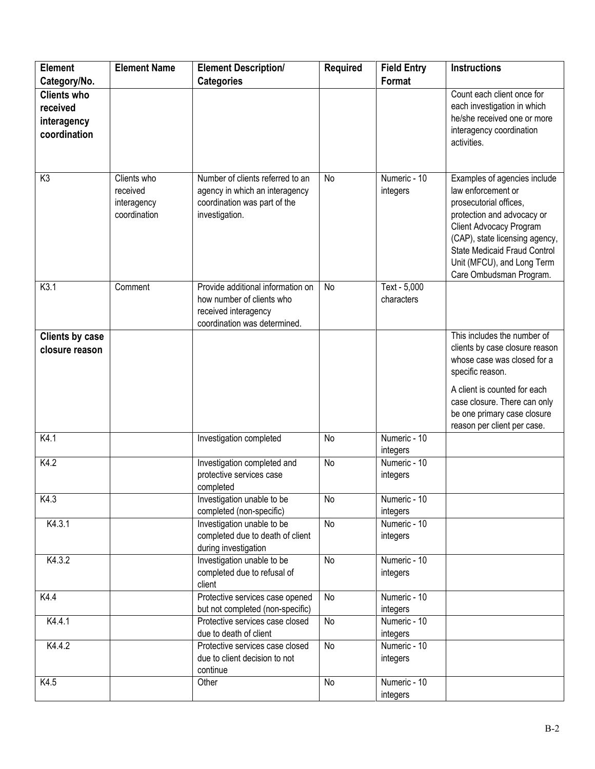| Element                | <b>Element Name</b> | <b>Element Description/</b>                             | <b>Required</b> | <b>Field Entry</b>       | <b>Instructions</b>            |
|------------------------|---------------------|---------------------------------------------------------|-----------------|--------------------------|--------------------------------|
| Category/No.           |                     | <b>Categories</b>                                       |                 | Format                   |                                |
| <b>Clients who</b>     |                     |                                                         |                 |                          | Count each client once for     |
| received               |                     |                                                         |                 |                          | each investigation in which    |
| interagency            |                     |                                                         |                 |                          | he/she received one or more    |
| coordination           |                     |                                                         |                 |                          | interagency coordination       |
|                        |                     |                                                         |                 |                          | activities.                    |
|                        |                     |                                                         |                 |                          |                                |
|                        |                     |                                                         |                 |                          |                                |
| K <sub>3</sub>         | Clients who         | Number of clients referred to an                        | No              | Numeric - 10             | Examples of agencies include   |
|                        | received            | agency in which an interagency                          |                 | integers                 | law enforcement or             |
|                        | interagency         | coordination was part of the                            |                 |                          | prosecutorial offices.         |
|                        | coordination        | investigation.                                          |                 |                          | protection and advocacy or     |
|                        |                     |                                                         |                 |                          | Client Advocacy Program        |
|                        |                     |                                                         |                 |                          | (CAP), state licensing agency, |
|                        |                     |                                                         |                 |                          | State Medicaid Fraud Control   |
|                        |                     |                                                         |                 |                          | Unit (MFCU), and Long Term     |
| K <sub>3.1</sub>       | Comment             | Provide additional information on                       | No              | Text - $5,000$           | Care Ombudsman Program.        |
|                        |                     | how number of clients who                               |                 | characters               |                                |
|                        |                     | received interagency                                    |                 |                          |                                |
|                        |                     | coordination was determined.                            |                 |                          |                                |
| <b>Clients by case</b> |                     |                                                         |                 |                          | This includes the number of    |
| closure reason         |                     |                                                         |                 |                          | clients by case closure reason |
|                        |                     |                                                         |                 |                          | whose case was closed for a    |
|                        |                     |                                                         |                 |                          | specific reason.               |
|                        |                     |                                                         |                 |                          |                                |
|                        |                     |                                                         |                 |                          | A client is counted for each   |
|                        |                     |                                                         |                 |                          | case closure. There can only   |
|                        |                     |                                                         |                 |                          | be one primary case closure    |
|                        |                     |                                                         |                 |                          | reason per client per case.    |
| K4.1                   |                     | Investigation completed                                 | <b>No</b>       | Numeric - 10             |                                |
| K4.2                   |                     |                                                         | No              | integers<br>Numeric - 10 |                                |
|                        |                     | Investigation completed and<br>protective services case |                 |                          |                                |
|                        |                     | completed                                               |                 | integers                 |                                |
| K4.3                   |                     | Investigation unable to be                              | No              | Numeric - 10             |                                |
|                        |                     | completed (non-specific)                                |                 | integers                 |                                |
| K4.3.1                 |                     | Investigation unable to be                              | No              | Numeric - 10             |                                |
|                        |                     | completed due to death of client                        |                 | integers                 |                                |
|                        |                     | during investigation                                    |                 |                          |                                |
| K4.3.2                 |                     | Investigation unable to be                              | No              | Numeric - 10             |                                |
|                        |                     | completed due to refusal of                             |                 | integers                 |                                |
|                        |                     | client                                                  |                 |                          |                                |
| K4.4                   |                     | Protective services case opened                         | No              | Numeric - 10             |                                |
|                        |                     | but not completed (non-specific)                        |                 | integers                 |                                |
| K4.4.1                 |                     | Protective services case closed                         | No              | Numeric - 10             |                                |
|                        |                     | due to death of client                                  |                 | integers                 |                                |
| K4.4.2                 |                     | Protective services case closed                         | No              | Numeric - 10             |                                |
|                        |                     | due to client decision to not                           |                 | integers                 |                                |
|                        |                     | continue                                                |                 |                          |                                |
| K4.5                   |                     | Other                                                   | No              | Numeric - 10             |                                |
|                        |                     |                                                         |                 | integers                 |                                |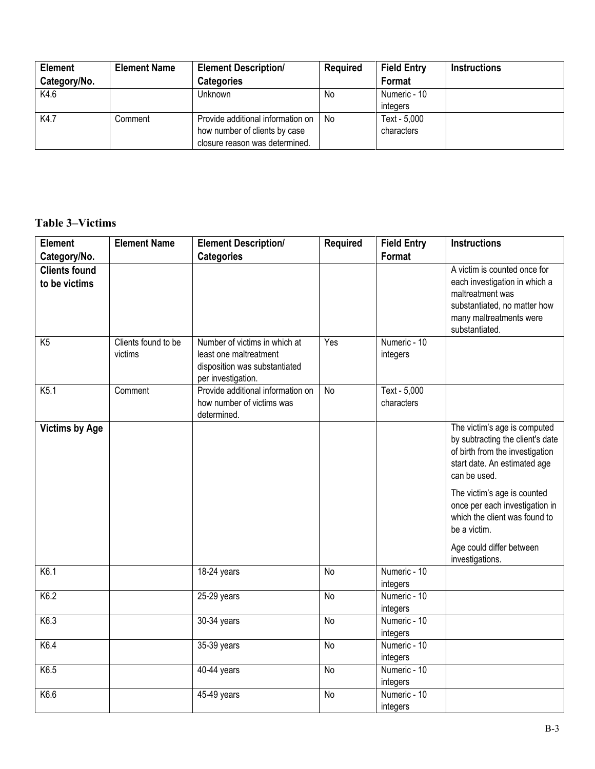| <b>Element</b> | <b>Element Name</b> | <b>Element Description/</b>       | <b>Required</b> | <b>Field Entry</b> | <b>Instructions</b> |
|----------------|---------------------|-----------------------------------|-----------------|--------------------|---------------------|
| Category/No.   |                     | <b>Categories</b>                 |                 | Format             |                     |
| K4.6           |                     | Unknown                           | No              | Numeric - 10       |                     |
|                |                     |                                   |                 | integers           |                     |
| K4.7           | Comment             | Provide additional information on | N <sub>0</sub>  | Text - 5,000       |                     |
|                |                     | how number of clients by case     |                 | characters         |                     |
|                |                     | closure reason was determined.    |                 |                    |                     |

### **Table 3–Victims**

| <b>Element</b>                        | <b>Element Name</b>            | <b>Element Description/</b>                                                                                    | <b>Required</b> | <b>Field Entry</b>         | <b>Instructions</b>                                                                                                                                                                                                                                                                                                  |
|---------------------------------------|--------------------------------|----------------------------------------------------------------------------------------------------------------|-----------------|----------------------------|----------------------------------------------------------------------------------------------------------------------------------------------------------------------------------------------------------------------------------------------------------------------------------------------------------------------|
| Category/No.                          |                                | <b>Categories</b>                                                                                              |                 | Format                     |                                                                                                                                                                                                                                                                                                                      |
| <b>Clients found</b><br>to be victims |                                |                                                                                                                |                 |                            | A victim is counted once for<br>each investigation in which a<br>maltreatment was<br>substantiated, no matter how<br>many maltreatments were<br>substantiated.                                                                                                                                                       |
| K5                                    | Clients found to be<br>victims | Number of victims in which at<br>least one maltreatment<br>disposition was substantiated<br>per investigation. | Yes             | Numeric - 10<br>integers   |                                                                                                                                                                                                                                                                                                                      |
| K <sub>5.1</sub>                      | Comment                        | Provide additional information on<br>how number of victims was<br>determined.                                  | No              | Text - 5,000<br>characters |                                                                                                                                                                                                                                                                                                                      |
| <b>Victims by Age</b>                 |                                |                                                                                                                |                 |                            | The victim's age is computed<br>by subtracting the client's date<br>of birth from the investigation<br>start date. An estimated age<br>can be used.<br>The victim's age is counted<br>once per each investigation in<br>which the client was found to<br>be a victim.<br>Age could differ between<br>investigations. |
| K6.1                                  |                                | 18-24 years                                                                                                    | <b>No</b>       | Numeric - 10<br>integers   |                                                                                                                                                                                                                                                                                                                      |
| K6.2                                  |                                | 25-29 years                                                                                                    | <b>No</b>       | Numeric - 10<br>integers   |                                                                                                                                                                                                                                                                                                                      |
| K6.3                                  |                                | 30-34 years                                                                                                    | No              | Numeric - 10<br>integers   |                                                                                                                                                                                                                                                                                                                      |
| K6.4                                  |                                | 35-39 years                                                                                                    | <b>No</b>       | Numeric - 10<br>integers   |                                                                                                                                                                                                                                                                                                                      |
| K6.5                                  |                                | 40-44 years                                                                                                    | <b>No</b>       | Numeric - 10<br>integers   |                                                                                                                                                                                                                                                                                                                      |
| K6.6                                  |                                | 45-49 years                                                                                                    | <b>No</b>       | Numeric - 10<br>integers   |                                                                                                                                                                                                                                                                                                                      |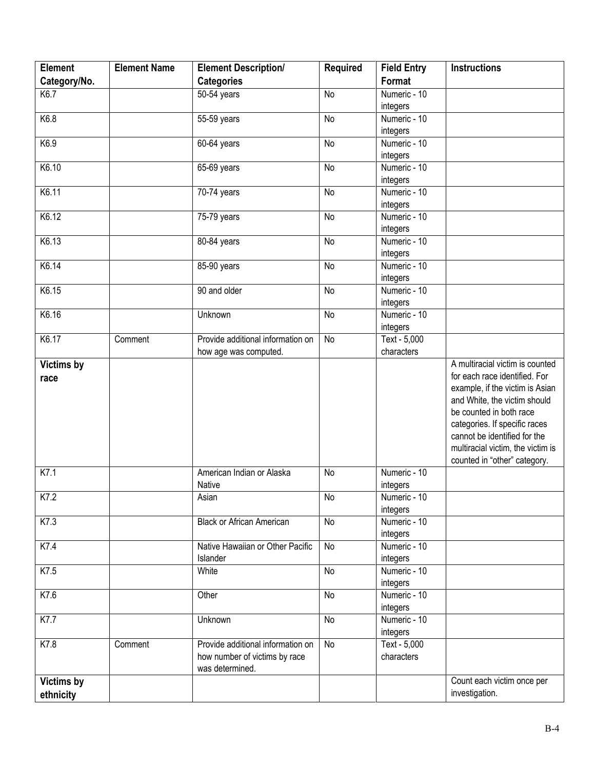| <b>Element</b>    | <b>Element Name</b> | <b>Element Description/</b>       | <b>Required</b> | <b>Field Entry</b> | <b>Instructions</b>                                              |
|-------------------|---------------------|-----------------------------------|-----------------|--------------------|------------------------------------------------------------------|
| Category/No.      |                     | <b>Categories</b>                 |                 | Format             |                                                                  |
| K6.7              |                     | 50-54 years                       | <b>No</b>       | Numeric - 10       |                                                                  |
|                   |                     |                                   |                 | integers           |                                                                  |
| K6.8              |                     | 55-59 years                       | No              | Numeric - 10       |                                                                  |
|                   |                     |                                   |                 | integers           |                                                                  |
| K6.9              |                     | 60-64 years                       | No              | Numeric - 10       |                                                                  |
|                   |                     |                                   |                 | integers           |                                                                  |
| K6.10             |                     | 65-69 years                       | No              | Numeric - 10       |                                                                  |
|                   |                     |                                   |                 | integers           |                                                                  |
| K6.11             |                     | 70-74 years                       | No              | Numeric - 10       |                                                                  |
|                   |                     |                                   |                 | integers           |                                                                  |
| K6.12             |                     | $75-79$ years                     | <b>No</b>       | Numeric - 10       |                                                                  |
|                   |                     |                                   |                 | integers           |                                                                  |
| K6.13             |                     | $80-84$ years                     | No              | Numeric - 10       |                                                                  |
|                   |                     |                                   |                 | integers           |                                                                  |
| K6.14             |                     | 85-90 years                       | <b>No</b>       | Numeric - 10       |                                                                  |
|                   |                     |                                   |                 | integers           |                                                                  |
| K6.15             |                     | 90 and older                      | No              | Numeric - 10       |                                                                  |
|                   |                     |                                   |                 | integers           |                                                                  |
| K6.16             |                     | Unknown                           | No              | Numeric - 10       |                                                                  |
|                   |                     |                                   |                 | integers           |                                                                  |
| K6.17             | Comment             | Provide additional information on | No              | Text - 5,000       |                                                                  |
|                   |                     | how age was computed.             |                 | characters         |                                                                  |
| Victims by        |                     |                                   |                 |                    | A multiracial victim is counted<br>for each race identified. For |
| race              |                     |                                   |                 |                    | example, if the victim is Asian                                  |
|                   |                     |                                   |                 |                    | and White, the victim should                                     |
|                   |                     |                                   |                 |                    | be counted in both race                                          |
|                   |                     |                                   |                 |                    | categories. If specific races                                    |
|                   |                     |                                   |                 |                    | cannot be identified for the                                     |
|                   |                     |                                   |                 |                    | multiracial victim, the victim is                                |
|                   |                     |                                   |                 |                    | counted in "other" category.                                     |
| K7.1              |                     | American Indian or Alaska         | <b>No</b>       | Numeric - 10       |                                                                  |
|                   |                     | Native                            |                 | integers           |                                                                  |
| K7.2              |                     | Asian                             | $\overline{N}$  | Numeric - 10       |                                                                  |
|                   |                     |                                   |                 | integers           |                                                                  |
| K7.3              |                     | <b>Black or African American</b>  | No              | Numeric - 10       |                                                                  |
|                   |                     |                                   |                 | integers           |                                                                  |
| K7.4              |                     | Native Hawaiian or Other Pacific  | <b>No</b>       | Numeric - 10       |                                                                  |
|                   |                     | Islander                          |                 | integers           |                                                                  |
| K7.5              |                     | White                             | No              | Numeric - 10       |                                                                  |
|                   |                     |                                   |                 | integers           |                                                                  |
| K7.6              |                     | Other                             | <b>No</b>       | Numeric - 10       |                                                                  |
|                   |                     |                                   |                 | integers           |                                                                  |
| K7.7              |                     | Unknown                           | <b>No</b>       | Numeric - 10       |                                                                  |
|                   |                     |                                   |                 | integers           |                                                                  |
| K7.8              | Comment             | Provide additional information on | No              | Text - 5,000       |                                                                  |
|                   |                     | how number of victims by race     |                 | characters         |                                                                  |
|                   |                     | was determined.                   |                 |                    |                                                                  |
| <b>Victims by</b> |                     |                                   |                 |                    | Count each victim once per                                       |
| ethnicity         |                     |                                   |                 |                    | investigation.                                                   |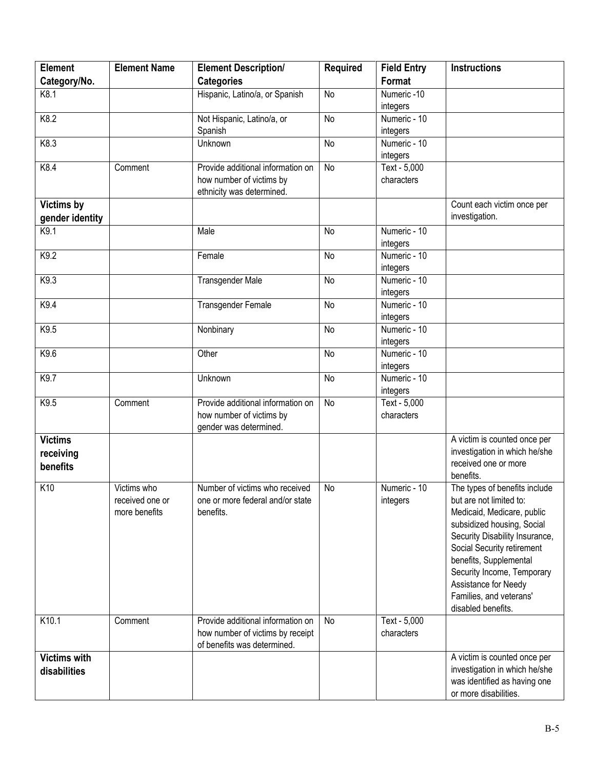| <b>Element</b>                       | <b>Element Name</b> | <b>Element Description/</b>       | <b>Required</b> | <b>Field Entry</b> | <b>Instructions</b>                                          |
|--------------------------------------|---------------------|-----------------------------------|-----------------|--------------------|--------------------------------------------------------------|
| Category/No.                         |                     | <b>Categories</b>                 |                 | Format             |                                                              |
| K8.1                                 |                     | Hispanic, Latino/a, or Spanish    | <b>No</b>       | Numeric-10         |                                                              |
|                                      |                     |                                   |                 | integers           |                                                              |
| K8.2                                 |                     | Not Hispanic, Latino/a, or        | No              | Numeric - 10       |                                                              |
|                                      |                     | Spanish                           |                 | integers           |                                                              |
| K8.3                                 |                     | Unknown                           | No              | Numeric - 10       |                                                              |
|                                      |                     |                                   |                 | integers           |                                                              |
| K8.4                                 | Comment             | Provide additional information on | No              | $Text - 5,000$     |                                                              |
|                                      |                     | how number of victims by          |                 | characters         |                                                              |
|                                      |                     | ethnicity was determined.         |                 |                    |                                                              |
| <b>Victims by</b><br>gender identity |                     |                                   |                 |                    | Count each victim once per<br>investigation.                 |
| K9.1                                 |                     | Male                              | <b>No</b>       | Numeric - 10       |                                                              |
|                                      |                     |                                   |                 | integers           |                                                              |
| K9.2                                 |                     | Female                            | <b>No</b>       | Numeric - 10       |                                                              |
|                                      |                     |                                   |                 | integers           |                                                              |
| K9.3                                 |                     | <b>Transgender Male</b>           | <b>No</b>       | Numeric - 10       |                                                              |
|                                      |                     |                                   |                 | integers           |                                                              |
| K9.4                                 |                     | <b>Transgender Female</b>         | <b>No</b>       | Numeric - 10       |                                                              |
|                                      |                     |                                   |                 | integers           |                                                              |
| K9.5                                 |                     | Nonbinary                         | <b>No</b>       | Numeric - 10       |                                                              |
|                                      |                     |                                   |                 | integers           |                                                              |
| K9.6                                 |                     | Other                             | <b>No</b>       | Numeric - 10       |                                                              |
|                                      |                     |                                   |                 | integers           |                                                              |
| K9.7                                 |                     | Unknown                           | <b>No</b>       | Numeric - 10       |                                                              |
|                                      |                     |                                   |                 | integers           |                                                              |
| K9.5                                 | Comment             | Provide additional information on | No              | Text - 5,000       |                                                              |
|                                      |                     | how number of victims by          |                 | characters         |                                                              |
|                                      |                     | gender was determined.            |                 |                    |                                                              |
| <b>Victims</b>                       |                     |                                   |                 |                    | A victim is counted once per                                 |
| receiving                            |                     |                                   |                 |                    | investigation in which he/she<br>received one or more        |
| benefits                             |                     |                                   |                 |                    | benefits.                                                    |
| K10                                  | Victims who         | Number of victims who received    | <b>No</b>       | Numeric - 10       | The types of benefits include                                |
|                                      | received one or     | one or more federal and/or state  |                 |                    | but are not limited to:                                      |
|                                      | more benefits       | benefits.                         |                 | integers           | Medicaid, Medicare, public                                   |
|                                      |                     |                                   |                 |                    | subsidized housing, Social                                   |
|                                      |                     |                                   |                 |                    |                                                              |
|                                      |                     |                                   |                 |                    | Security Disability Insurance,<br>Social Security retirement |
|                                      |                     |                                   |                 |                    | benefits, Supplemental                                       |
|                                      |                     |                                   |                 |                    | Security Income, Temporary                                   |
|                                      |                     |                                   |                 |                    | Assistance for Needy                                         |
|                                      |                     |                                   |                 |                    | Families, and veterans'                                      |
|                                      |                     |                                   |                 |                    | disabled benefits.                                           |
| K10.1                                | Comment             | Provide additional information on | No              | Text - 5,000       |                                                              |
|                                      |                     | how number of victims by receipt  |                 | characters         |                                                              |
|                                      |                     | of benefits was determined.       |                 |                    |                                                              |
| <b>Victims with</b>                  |                     |                                   |                 |                    | A victim is counted once per                                 |
| disabilities                         |                     |                                   |                 |                    | investigation in which he/she                                |
|                                      |                     |                                   |                 |                    | was identified as having one                                 |
|                                      |                     |                                   |                 |                    | or more disabilities.                                        |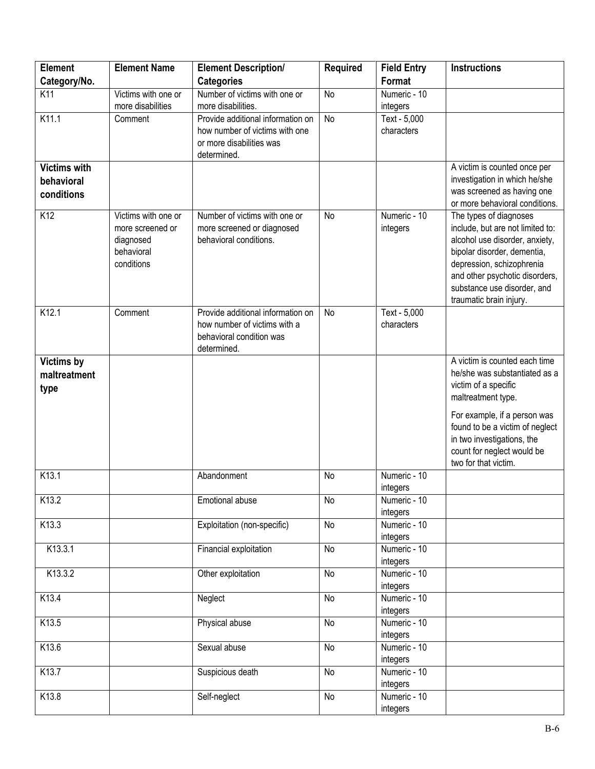| <b>Element</b>                                  | <b>Element Name</b>                                                              | <b>Element Description/</b>                                                                                    | <b>Required</b> | <b>Field Entry</b>         | <b>Instructions</b>                                                                                                                                                                                                                                  |
|-------------------------------------------------|----------------------------------------------------------------------------------|----------------------------------------------------------------------------------------------------------------|-----------------|----------------------------|------------------------------------------------------------------------------------------------------------------------------------------------------------------------------------------------------------------------------------------------------|
| Category/No.                                    |                                                                                  | <b>Categories</b>                                                                                              |                 | Format                     |                                                                                                                                                                                                                                                      |
| K11                                             | Victims with one or                                                              | Number of victims with one or                                                                                  | No              | Numeric - 10               |                                                                                                                                                                                                                                                      |
|                                                 | more disabilities                                                                | more disabilities.                                                                                             |                 | integers                   |                                                                                                                                                                                                                                                      |
| K11.1                                           | Comment                                                                          | Provide additional information on<br>how number of victims with one<br>or more disabilities was<br>determined. | <b>No</b>       | Text - 5,000<br>characters |                                                                                                                                                                                                                                                      |
| <b>Victims with</b><br>behavioral<br>conditions |                                                                                  |                                                                                                                |                 |                            | A victim is counted once per<br>investigation in which he/she<br>was screened as having one<br>or more behavioral conditions.                                                                                                                        |
| K12                                             | Victims with one or<br>more screened or<br>diagnosed<br>behavioral<br>conditions | Number of victims with one or<br>more screened or diagnosed<br>behavioral conditions.                          | No              | Numeric - 10<br>integers   | The types of diagnoses<br>include, but are not limited to:<br>alcohol use disorder, anxiety,<br>bipolar disorder, dementia,<br>depression, schizophrenia<br>and other psychotic disorders,<br>substance use disorder, and<br>traumatic brain injury. |
| K12.1                                           | Comment                                                                          | Provide additional information on<br>how number of victims with a<br>behavioral condition was<br>determined.   | No              | Text - 5,000<br>characters |                                                                                                                                                                                                                                                      |
| <b>Victims by</b><br>maltreatment<br>type       |                                                                                  |                                                                                                                |                 |                            | A victim is counted each time<br>he/she was substantiated as a<br>victim of a specific<br>maltreatment type.<br>For example, if a person was                                                                                                         |
|                                                 |                                                                                  |                                                                                                                |                 |                            | found to be a victim of neglect<br>in two investigations, the<br>count for neglect would be<br>two for that victim.                                                                                                                                  |
| K13.1                                           |                                                                                  | Abandonment                                                                                                    | No              | Numeric - 10<br>integers   |                                                                                                                                                                                                                                                      |
| K13.2                                           |                                                                                  | Emotional abuse                                                                                                | No              | Numeric - 10<br>integers   |                                                                                                                                                                                                                                                      |
| K13.3                                           |                                                                                  | Exploitation (non-specific)                                                                                    | No              | Numeric - 10<br>integers   |                                                                                                                                                                                                                                                      |
| K13.3.1                                         |                                                                                  | Financial exploitation                                                                                         | No              | Numeric - 10<br>integers   |                                                                                                                                                                                                                                                      |
| K13.3.2                                         |                                                                                  | Other exploitation                                                                                             | No              | Numeric - 10<br>integers   |                                                                                                                                                                                                                                                      |
| K13.4                                           |                                                                                  | Neglect                                                                                                        | No              | Numeric - 10<br>integers   |                                                                                                                                                                                                                                                      |
| K13.5                                           |                                                                                  | Physical abuse                                                                                                 | No              | Numeric - 10<br>integers   |                                                                                                                                                                                                                                                      |
| K13.6                                           |                                                                                  | Sexual abuse                                                                                                   | No              | Numeric - 10<br>integers   |                                                                                                                                                                                                                                                      |
| K13.7                                           |                                                                                  | Suspicious death                                                                                               | No              | Numeric - 10<br>integers   |                                                                                                                                                                                                                                                      |
| K13.8                                           |                                                                                  | Self-neglect                                                                                                   | No              | Numeric - 10<br>integers   |                                                                                                                                                                                                                                                      |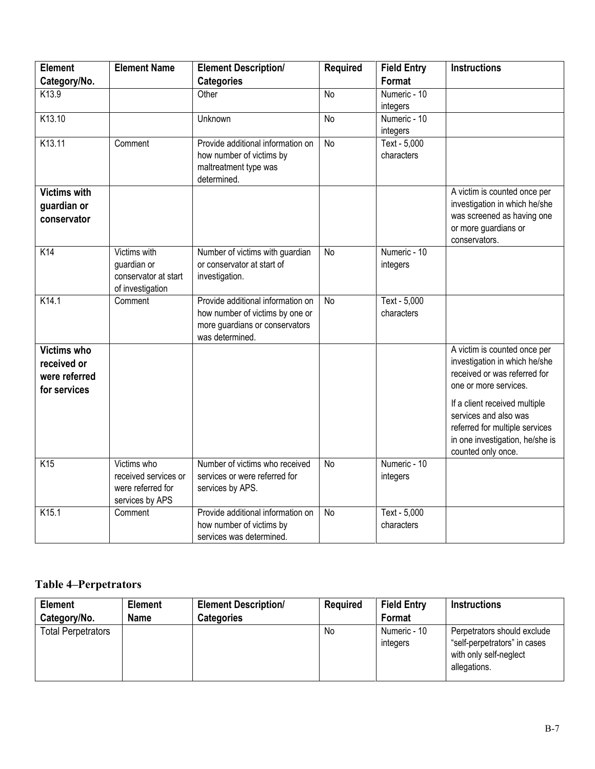| <b>Element</b>      | <b>Element Name</b>  | <b>Element Description/</b>                                       | <b>Required</b> | <b>Field Entry</b>         | <b>Instructions</b>             |
|---------------------|----------------------|-------------------------------------------------------------------|-----------------|----------------------------|---------------------------------|
| Category/No.        |                      | <b>Categories</b>                                                 |                 | <b>Format</b>              |                                 |
| K13.9               |                      | Other                                                             | No              | Numeric - 10               |                                 |
|                     |                      |                                                                   |                 | integers                   |                                 |
| K13.10              |                      | Unknown                                                           | No              | Numeric - 10               |                                 |
|                     |                      |                                                                   |                 | integers                   |                                 |
| K13.11              | Comment              | Provide additional information on                                 | No              | Text - 5,000               |                                 |
|                     |                      | how number of victims by                                          |                 | characters                 |                                 |
|                     |                      | maltreatment type was<br>determined.                              |                 |                            |                                 |
| <b>Victims with</b> |                      |                                                                   |                 |                            | A victim is counted once per    |
| guardian or         |                      |                                                                   |                 |                            | investigation in which he/she   |
| conservator         |                      |                                                                   |                 |                            | was screened as having one      |
|                     |                      |                                                                   |                 |                            | or more guardians or            |
|                     |                      |                                                                   |                 |                            | conservators.                   |
| K14                 | Victims with         | Number of victims with guardian                                   | <b>No</b>       | Numeric - 10               |                                 |
|                     | guardian or          | or conservator at start of                                        |                 | integers                   |                                 |
|                     | conservator at start | investigation.                                                    |                 |                            |                                 |
|                     | of investigation     |                                                                   |                 |                            |                                 |
| K14.1               | Comment              | Provide additional information on                                 | <b>No</b>       | Text - 5,000<br>characters |                                 |
|                     |                      | how number of victims by one or<br>more guardians or conservators |                 |                            |                                 |
|                     |                      | was determined.                                                   |                 |                            |                                 |
| Victims who         |                      |                                                                   |                 |                            | A victim is counted once per    |
| received or         |                      |                                                                   |                 |                            | investigation in which he/she   |
| were referred       |                      |                                                                   |                 |                            | received or was referred for    |
| for services        |                      |                                                                   |                 |                            | one or more services.           |
|                     |                      |                                                                   |                 |                            | If a client received multiple   |
|                     |                      |                                                                   |                 |                            | services and also was           |
|                     |                      |                                                                   |                 |                            | referred for multiple services  |
|                     |                      |                                                                   |                 |                            | in one investigation, he/she is |
| K <sub>15</sub>     | Victims who          | Number of victims who received                                    | <b>No</b>       | Numeric - 10               | counted only once.              |
|                     | received services or | services or were referred for                                     |                 | integers                   |                                 |
|                     | were referred for    | services by APS.                                                  |                 |                            |                                 |
|                     | services by APS      |                                                                   |                 |                            |                                 |
| K15.1               | Comment              | Provide additional information on                                 | $\overline{N}$  | Text - 5,000               |                                 |
|                     |                      | how number of victims by                                          |                 | characters                 |                                 |
|                     |                      | services was determined.                                          |                 |                            |                                 |

## **Table 4–Perpetrators**

| <b>Element</b>            | <b>Element</b> | <b>Element Description/</b> | <b>Required</b> | <b>Field Entry</b>       | <b>Instructions</b>                                                                                   |
|---------------------------|----------------|-----------------------------|-----------------|--------------------------|-------------------------------------------------------------------------------------------------------|
| Category/No.              | <b>Name</b>    | <b>Categories</b>           |                 | Format                   |                                                                                                       |
| <b>Total Perpetrators</b> |                |                             | No              | Numeric - 10<br>integers | Perpetrators should exclude<br>"self-perpetrators" in cases<br>with only self-neglect<br>allegations. |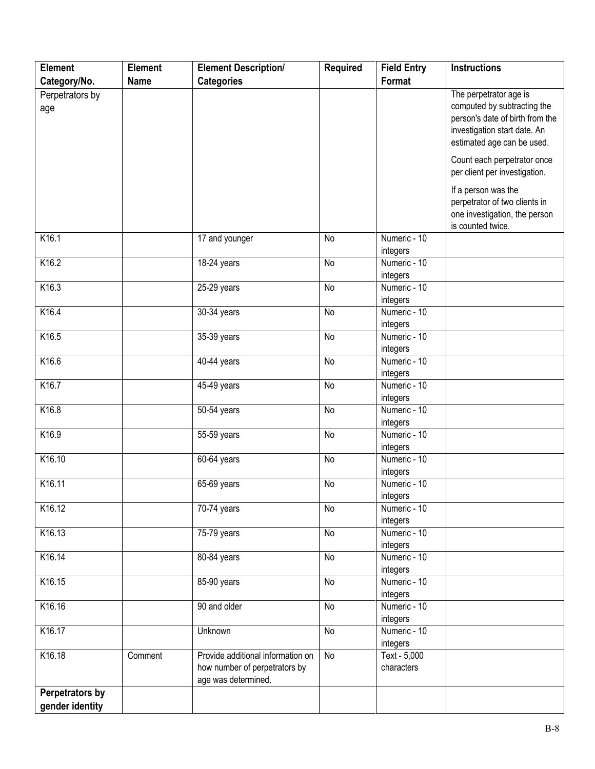| <b>Element</b>  | Element     | <b>Element Description/</b>       | <b>Required</b> | <b>Field Entry</b> | <b>Instructions</b>             |
|-----------------|-------------|-----------------------------------|-----------------|--------------------|---------------------------------|
| Category/No.    | <b>Name</b> | <b>Categories</b>                 |                 | Format             |                                 |
| Perpetrators by |             |                                   |                 |                    | The perpetrator age is          |
| age             |             |                                   |                 |                    | computed by subtracting the     |
|                 |             |                                   |                 |                    | person's date of birth from the |
|                 |             |                                   |                 |                    | investigation start date. An    |
|                 |             |                                   |                 |                    | estimated age can be used.      |
|                 |             |                                   |                 |                    | Count each perpetrator once     |
|                 |             |                                   |                 |                    | per client per investigation.   |
|                 |             |                                   |                 |                    |                                 |
|                 |             |                                   |                 |                    | If a person was the             |
|                 |             |                                   |                 |                    | perpetrator of two clients in   |
|                 |             |                                   |                 |                    | one investigation, the person   |
|                 |             |                                   |                 |                    | is counted twice.               |
| K16.1           |             | 17 and younger                    | <b>No</b>       | Numeric - 10       |                                 |
|                 |             |                                   |                 | integers           |                                 |
| K16.2           |             | 18-24 years                       | <b>No</b>       | Numeric - 10       |                                 |
|                 |             |                                   |                 | integers           |                                 |
| K16.3           |             | 25-29 years                       | <b>No</b>       | Numeric - 10       |                                 |
|                 |             |                                   |                 | integers           |                                 |
| K16.4           |             | $30-34$ years                     | No              | Numeric - 10       |                                 |
|                 |             |                                   |                 | integers           |                                 |
| K16.5           |             | 35-39 years                       | <b>No</b>       | Numeric - 10       |                                 |
|                 |             |                                   |                 | integers           |                                 |
| K16.6           |             | 40-44 years                       | <b>No</b>       | Numeric - 10       |                                 |
|                 |             |                                   |                 | integers           |                                 |
| K16.7           |             | 45-49 years                       | <b>No</b>       | Numeric - 10       |                                 |
|                 |             |                                   |                 | integers           |                                 |
| K16.8           |             | 50-54 years                       | No              | Numeric - 10       |                                 |
|                 |             |                                   |                 | integers           |                                 |
| K16.9           |             | 55-59 years                       | <b>No</b>       | Numeric - 10       |                                 |
|                 |             |                                   |                 | integers           |                                 |
| K16.10          |             | 60-64 years                       | <b>No</b>       | Numeric - 10       |                                 |
|                 |             |                                   |                 | integers           |                                 |
| K16.11          |             | 65-69 years                       | No              | Numeric - 10       |                                 |
|                 |             |                                   |                 | integers           |                                 |
| K16.12          |             | 70-74 years                       | No              | Numeric - 10       |                                 |
|                 |             |                                   |                 | integers           |                                 |
| K16.13          |             | 75-79 years                       | No              | Numeric - 10       |                                 |
|                 |             |                                   |                 | integers           |                                 |
| K16.14          |             | 80-84 years                       | No              | Numeric - 10       |                                 |
|                 |             |                                   |                 | integers           |                                 |
| K16.15          |             | 85-90 years                       | No              | Numeric - 10       |                                 |
|                 |             |                                   |                 | integers           |                                 |
| K16.16          |             | 90 and older                      | No              | Numeric - 10       |                                 |
|                 |             |                                   |                 | integers           |                                 |
| K16.17          |             | Unknown                           | No              | Numeric - 10       |                                 |
|                 |             |                                   |                 | integers           |                                 |
| K16.18          | Comment     | Provide additional information on | No              | Text - 5,000       |                                 |
|                 |             | how number of perpetrators by     |                 | characters         |                                 |
|                 |             | age was determined.               |                 |                    |                                 |
| Perpetrators by |             |                                   |                 |                    |                                 |
| gender identity |             |                                   |                 |                    |                                 |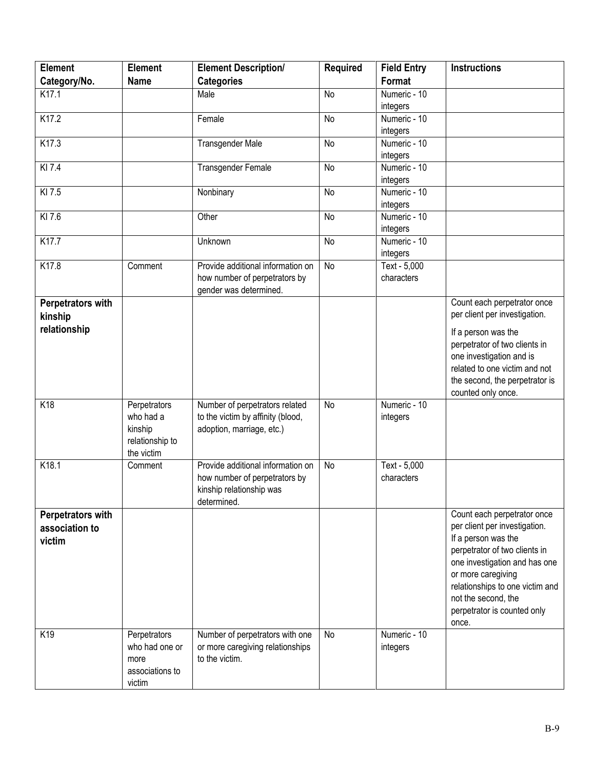| <b>Element</b>           | <b>Element</b>  | <b>Element Description/</b>       | <b>Required</b> | <b>Field Entry</b> | <b>Instructions</b>                                  |
|--------------------------|-----------------|-----------------------------------|-----------------|--------------------|------------------------------------------------------|
| Category/No.             | <b>Name</b>     | <b>Categories</b>                 |                 | Format             |                                                      |
| K17.1                    |                 | Male                              | <b>No</b>       | Numeric - 10       |                                                      |
|                          |                 |                                   |                 | integers           |                                                      |
| K17.2                    |                 | Female                            | <b>No</b>       | Numeric - 10       |                                                      |
|                          |                 |                                   |                 | integers           |                                                      |
| K17.3                    |                 | Transgender Male                  | No              | Numeric - 10       |                                                      |
|                          |                 |                                   |                 | integers           |                                                      |
| KI 7.4                   |                 | <b>Transgender Female</b>         | No              | Numeric - 10       |                                                      |
|                          |                 |                                   |                 | integers           |                                                      |
| KI 7.5                   |                 | Nonbinary                         | <b>No</b>       | Numeric - 10       |                                                      |
|                          |                 |                                   |                 | integers           |                                                      |
| KI 7.6                   |                 | Other                             | No              | Numeric - 10       |                                                      |
|                          |                 |                                   |                 | integers           |                                                      |
| K17.7                    |                 | Unknown                           | No              | Numeric - 10       |                                                      |
|                          |                 |                                   |                 | integers           |                                                      |
| K17.8                    | Comment         | Provide additional information on | No              | Text - 5,000       |                                                      |
|                          |                 | how number of perpetrators by     |                 | characters         |                                                      |
|                          |                 | gender was determined.            |                 |                    |                                                      |
| Perpetrators with        |                 |                                   |                 |                    | Count each perpetrator once                          |
| kinship                  |                 |                                   |                 |                    | per client per investigation.                        |
| relationship             |                 |                                   |                 |                    | If a person was the                                  |
|                          |                 |                                   |                 |                    | perpetrator of two clients in                        |
|                          |                 |                                   |                 |                    | one investigation and is                             |
|                          |                 |                                   |                 |                    | related to one victim and not                        |
|                          |                 |                                   |                 |                    | the second, the perpetrator is                       |
|                          |                 |                                   |                 |                    | counted only once.                                   |
| K18                      | Perpetrators    | Number of perpetrators related    | <b>No</b>       | Numeric - 10       |                                                      |
|                          | who had a       | to the victim by affinity (blood, |                 | integers           |                                                      |
|                          | kinship         | adoption, marriage, etc.)         |                 |                    |                                                      |
|                          | relationship to |                                   |                 |                    |                                                      |
|                          | the victim      |                                   |                 |                    |                                                      |
| K18.1                    | Comment         | Provide additional information on | <b>No</b>       | Text - 5,000       |                                                      |
|                          |                 | how number of perpetrators by     |                 | characters         |                                                      |
|                          |                 | kinship relationship was          |                 |                    |                                                      |
|                          |                 | determined.                       |                 |                    |                                                      |
| <b>Perpetrators with</b> |                 |                                   |                 |                    | Count each perpetrator once                          |
| association to           |                 |                                   |                 |                    | per client per investigation.                        |
| victim                   |                 |                                   |                 |                    | If a person was the<br>perpetrator of two clients in |
|                          |                 |                                   |                 |                    | one investigation and has one                        |
|                          |                 |                                   |                 |                    | or more caregiving                                   |
|                          |                 |                                   |                 |                    | relationships to one victim and                      |
|                          |                 |                                   |                 |                    | not the second, the                                  |
|                          |                 |                                   |                 |                    | perpetrator is counted only                          |
|                          |                 |                                   |                 |                    | once.                                                |
| K19                      | Perpetrators    | Number of perpetrators with one   | <b>No</b>       | Numeric - 10       |                                                      |
|                          | who had one or  | or more caregiving relationships  |                 | integers           |                                                      |
|                          | more            | to the victim.                    |                 |                    |                                                      |
|                          | associations to |                                   |                 |                    |                                                      |
|                          | victim          |                                   |                 |                    |                                                      |